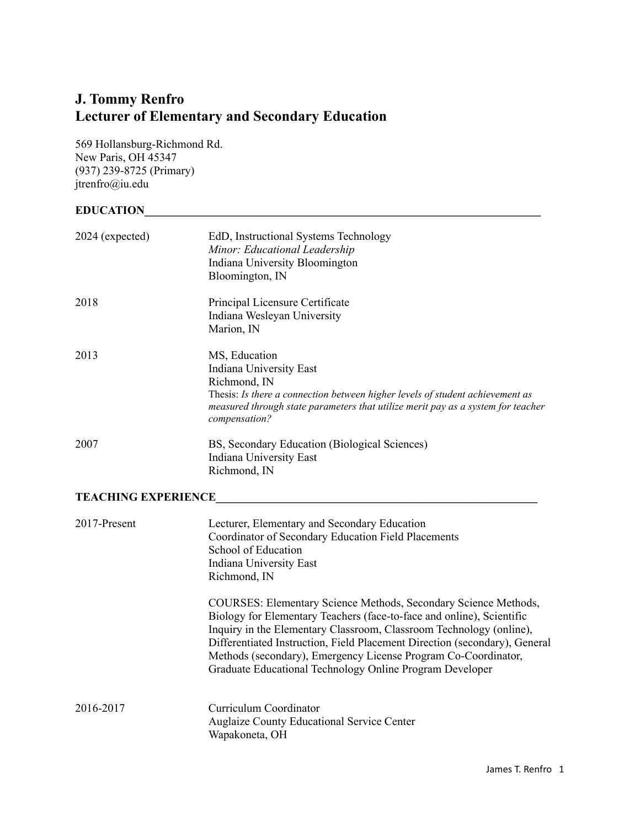### **J. Tommy Renfro Lecturer of Elementary and Secondary Education**

569 Hollansburg-Richmond Rd. New Paris, OH 45347 (937) 239-8725 (Primary) [jtrenfro@iu.edu](mailto:jtrenfro@iu.edu)

# **EDUCATION\_\_\_\_\_\_\_\_\_\_\_\_\_\_\_\_\_\_\_\_\_\_\_\_\_\_\_\_\_\_\_\_\_\_\_\_\_\_\_\_\_\_\_\_\_\_\_\_\_\_\_\_\_\_\_\_\_\_\_\_\_\_\_\_\_\_\_\_\_**

| 2024 (expected) | EdD, Instructional Systems Technology<br>Minor: Educational Leadership<br>Indiana University Bloomington<br>Bloomington, IN                                                                                                                    |
|-----------------|------------------------------------------------------------------------------------------------------------------------------------------------------------------------------------------------------------------------------------------------|
| 2018            | Principal Licensure Certificate<br>Indiana Wesleyan University<br>Marion, IN                                                                                                                                                                   |
| 2013            | MS, Education<br>Indiana University East<br>Richmond, IN<br>Thesis: Is there a connection between higher levels of student achievement as<br>measured through state parameters that utilize merit pay as a system for teacher<br>compensation? |
| 2007            | BS, Secondary Education (Biological Sciences)<br>Indiana University East<br>Richmond, IN                                                                                                                                                       |

## **TEACHING EXPERIENCE\_\_\_\_\_\_\_\_\_\_\_\_\_\_\_\_\_\_\_\_\_\_\_\_\_\_\_\_\_\_\_\_\_\_\_\_\_\_\_\_\_\_\_\_\_\_\_\_\_\_\_\_\_\_\_\_**

| 2017-Present | Lecturer, Elementary and Secondary Education<br>Coordinator of Secondary Education Field Placements<br>School of Education<br>Indiana University East<br>Richmond, IN                                                                                                                                                                                                                                                       |
|--------------|-----------------------------------------------------------------------------------------------------------------------------------------------------------------------------------------------------------------------------------------------------------------------------------------------------------------------------------------------------------------------------------------------------------------------------|
|              | COURSES: Elementary Science Methods, Secondary Science Methods,<br>Biology for Elementary Teachers (face-to-face and online), Scientific<br>Inquiry in the Elementary Classroom, Classroom Technology (online),<br>Differentiated Instruction, Field Placement Direction (secondary), General<br>Methods (secondary), Emergency License Program Co-Coordinator,<br>Graduate Educational Technology Online Program Developer |
| 2016-2017    | Curriculum Coordinator<br><b>Auglaize County Educational Service Center</b><br>Wapakoneta, OH                                                                                                                                                                                                                                                                                                                               |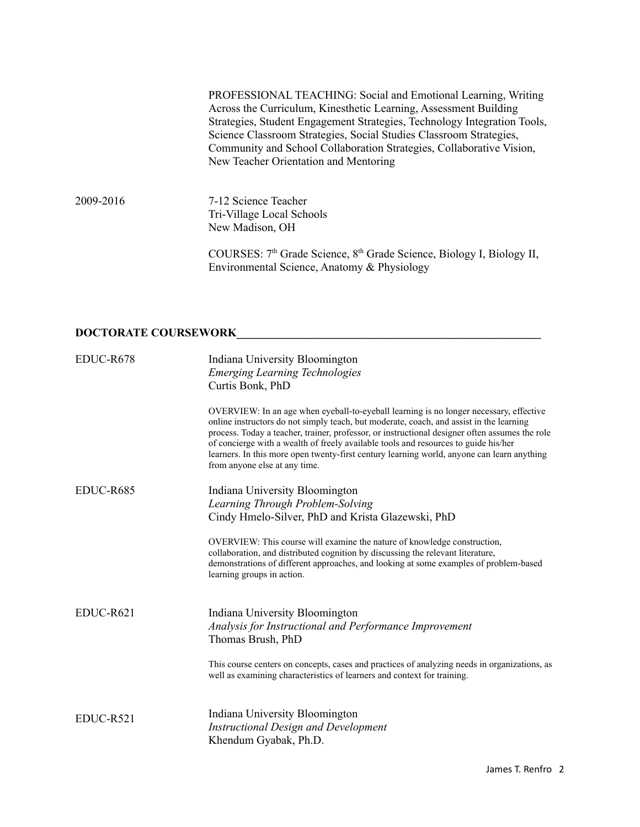PROFESSIONAL TEACHING: Social and Emotional Learning, Writing Across the Curriculum, Kinesthetic Learning, Assessment Building Strategies, Student Engagement Strategies, Technology Integration Tools, Science Classroom Strategies, Social Studies Classroom Strategies, Community and School Collaboration Strategies, Collaborative Vision, New Teacher Orientation and Mentoring

2009-2016 7-12 Science Teacher Tri-Village Local Schools New Madison, OH

> COURSES: 7<sup>th</sup> Grade Science, 8<sup>th</sup> Grade Science, Biology I, Biology II, Environmental Science, Anatomy & Physiology

### **DOCTORATE COURSEWORK\_\_\_\_\_\_\_\_\_\_\_\_\_\_\_\_\_\_\_\_\_\_\_\_\_\_\_\_\_\_\_\_\_\_\_\_\_\_\_\_\_\_\_\_\_\_\_\_\_\_\_\_\_**

| EDUC-R678 | Indiana University Bloomington<br><b>Emerging Learning Technologies</b><br>Curtis Bonk, PhD                                                                                                                                                                                                                                                                                                                                                                                                               |
|-----------|-----------------------------------------------------------------------------------------------------------------------------------------------------------------------------------------------------------------------------------------------------------------------------------------------------------------------------------------------------------------------------------------------------------------------------------------------------------------------------------------------------------|
|           | OVERVIEW: In an age when eyeball-to-eyeball learning is no longer necessary, effective<br>online instructors do not simply teach, but moderate, coach, and assist in the learning<br>process. Today a teacher, trainer, professor, or instructional designer often assumes the role<br>of concierge with a wealth of freely available tools and resources to guide his/her<br>learners. In this more open twenty-first century learning world, anyone can learn anything<br>from anyone else at any time. |
| EDUC-R685 | Indiana University Bloomington<br>Learning Through Problem-Solving<br>Cindy Hmelo-Silver, PhD and Krista Glazewski, PhD                                                                                                                                                                                                                                                                                                                                                                                   |
|           | OVERVIEW: This course will examine the nature of knowledge construction,<br>collaboration, and distributed cognition by discussing the relevant literature,<br>demonstrations of different approaches, and looking at some examples of problem-based<br>learning groups in action.                                                                                                                                                                                                                        |
| EDUC-R621 | Indiana University Bloomington<br>Analysis for Instructional and Performance Improvement<br>Thomas Brush, PhD                                                                                                                                                                                                                                                                                                                                                                                             |
|           | This course centers on concepts, cases and practices of analyzing needs in organizations, as<br>well as examining characteristics of learners and context for training.                                                                                                                                                                                                                                                                                                                                   |
| EDUC-R521 | Indiana University Bloomington<br><b>Instructional Design and Development</b><br>Khendum Gyabak, Ph.D.                                                                                                                                                                                                                                                                                                                                                                                                    |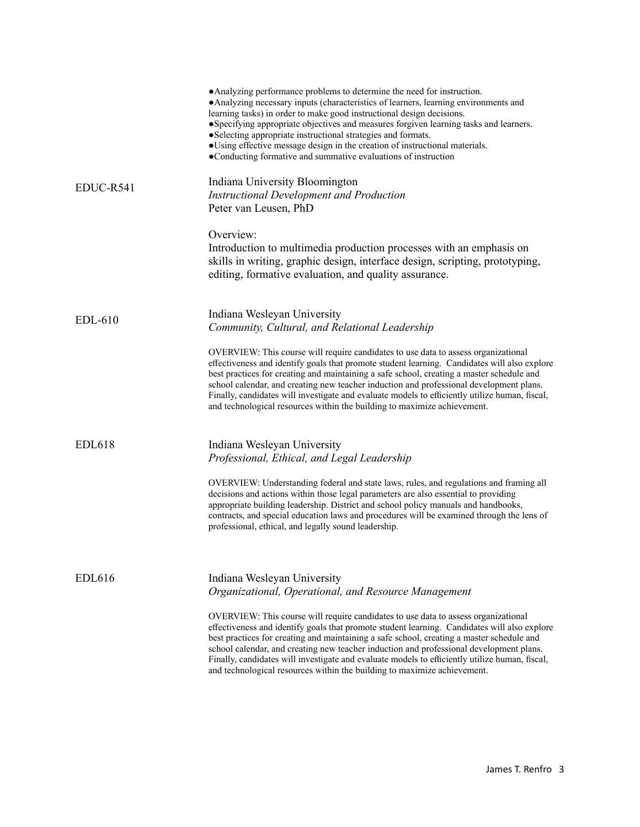| • Analyzing performance problems to determine the need for instruction.<br>• Analyzing necessary inputs (characteristics of learners, learning environments and<br>learning tasks) in order to make good instructional design decisions.<br>• Specifying appropriate objectives and measures forgiven learning tasks and learners.<br>• Selecting appropriate instructional strategies and formats.<br>• Using effective message design in the creation of instructional materials.<br>•Conducting formative and summative evaluations of instruction    |
|----------------------------------------------------------------------------------------------------------------------------------------------------------------------------------------------------------------------------------------------------------------------------------------------------------------------------------------------------------------------------------------------------------------------------------------------------------------------------------------------------------------------------------------------------------|
| Indiana University Bloomington<br><b>Instructional Development and Production</b><br>Peter van Leusen, PhD                                                                                                                                                                                                                                                                                                                                                                                                                                               |
| Overview:<br>Introduction to multimedia production processes with an emphasis on<br>skills in writing, graphic design, interface design, scripting, prototyping,<br>editing, formative evaluation, and quality assurance.                                                                                                                                                                                                                                                                                                                                |
| Indiana Wesleyan University<br>Community, Cultural, and Relational Leadership                                                                                                                                                                                                                                                                                                                                                                                                                                                                            |
| OVERVIEW: This course will require candidates to use data to assess organizational<br>effectiveness and identify goals that promote student learning. Candidates will also explore<br>best practices for creating and maintaining a safe school, creating a master schedule and<br>school calendar, and creating new teacher induction and professional development plans.<br>Finally, candidates will investigate and evaluate models to efficiently utilize human, fiscal,<br>and technological resources within the building to maximize achievement. |
| Indiana Wesleyan University<br>Professional, Ethical, and Legal Leadership                                                                                                                                                                                                                                                                                                                                                                                                                                                                               |
| OVERVIEW: Understanding federal and state laws, rules, and regulations and framing all<br>decisions and actions within those legal parameters are also essential to providing<br>appropriate building leadership. District and school policy manuals and handbooks,<br>contracts, and special education laws and procedures will be examined through the lens of<br>professional, ethical, and legally sound leadership.                                                                                                                                 |
| Indiana Wesleyan University<br>Organizational, Operational, and Resource Management                                                                                                                                                                                                                                                                                                                                                                                                                                                                      |
| OVERVIEW: This course will require candidates to use data to assess organizational<br>effectiveness and identify goals that promote student learning. Candidates will also explore<br>best practices for creating and maintaining a safe school, creating a master schedule and<br>school calendar, and creating new teacher induction and professional development plans.<br>Finally, candidates will investigate and evaluate models to efficiently utilize human, fiscal,<br>and technological resources within the building to maximize achievement. |
|                                                                                                                                                                                                                                                                                                                                                                                                                                                                                                                                                          |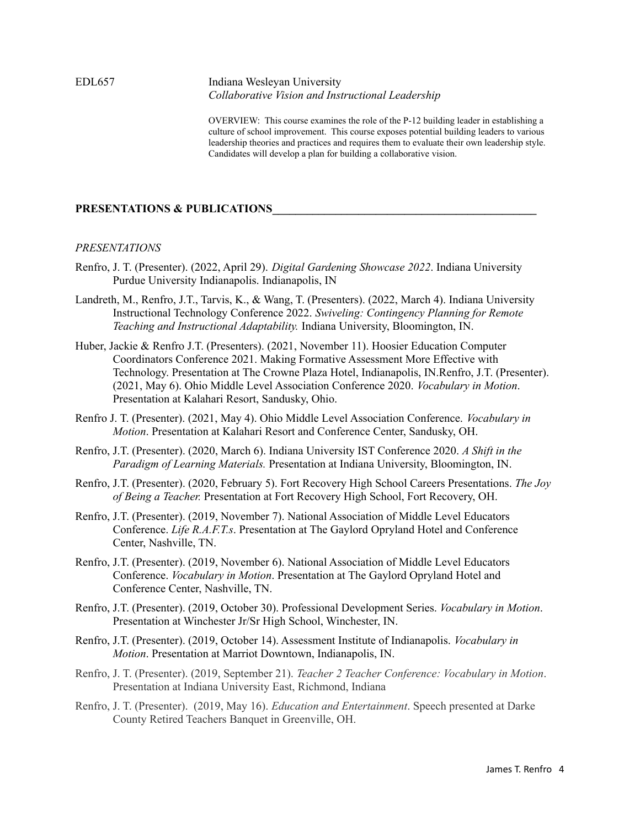#### EDL657 Indiana Wesleyan University *Collaborative Vision and Instructional Leadership*

OVERVIEW: This course examines the role of the P-12 building leader in establishing a culture of school improvement. This course exposes potential building leaders to various leadership theories and practices and requires them to evaluate their own leadership style. Candidates will develop a plan for building a collaborative vision.

#### **PRESENTATIONS & PUBLICATIONS\_\_\_\_\_\_\_\_\_\_\_\_\_\_\_\_\_\_\_\_\_\_\_\_\_\_\_\_\_\_\_\_\_\_\_\_\_\_\_\_\_\_\_\_\_\_**

#### *PRESENTATIONS*

- Renfro, J. T. (Presenter). (2022, April 29). *Digital Gardening Showcase 2022*. Indiana University Purdue University Indianapolis. Indianapolis, IN
- Landreth, M., Renfro, J.T., Tarvis, K., & Wang, T. (Presenters). (2022, March 4). Indiana University Instructional Technology Conference 2022. *Swiveling: Contingency Planning for Remote Teaching and Instructional Adaptability.* Indiana University, Bloomington, IN.
- Huber, Jackie & Renfro J.T. (Presenters). (2021, November 11). Hoosier Education Computer Coordinators Conference 2021. Making Formative Assessment More Effective with Technology. Presentation at The Crowne Plaza Hotel, Indianapolis, IN.Renfro, J.T. (Presenter). (2021, May 6). Ohio Middle Level Association Conference 2020. *Vocabulary in Motion*. Presentation at Kalahari Resort, Sandusky, Ohio.
- Renfro J. T. (Presenter). (2021, May 4). Ohio Middle Level Association Conference. *Vocabulary in Motion*. Presentation at Kalahari Resort and Conference Center, Sandusky, OH.
- Renfro, J.T. (Presenter). (2020, March 6). Indiana University IST Conference 2020. *A Shift in the Paradigm of Learning Materials.* Presentation at Indiana University, Bloomington, IN.
- Renfro, J.T. (Presenter). (2020, February 5). Fort Recovery High School Careers Presentations. *The Joy of Being a Teacher.* Presentation at Fort Recovery High School, Fort Recovery, OH.
- Renfro, J.T. (Presenter). (2019, November 7). National Association of Middle Level Educators Conference. *Life R.A.F.T.s*. Presentation at The Gaylord Opryland Hotel and Conference Center, Nashville, TN.
- Renfro, J.T. (Presenter). (2019, November 6). National Association of Middle Level Educators Conference. *Vocabulary in Motion*. Presentation at The Gaylord Opryland Hotel and Conference Center, Nashville, TN.
- Renfro, J.T. (Presenter). (2019, October 30). Professional Development Series. *Vocabulary in Motion*. Presentation at Winchester Jr/Sr High School, Winchester, IN.
- Renfro, J.T. (Presenter). (2019, October 14). Assessment Institute of Indianapolis. *Vocabulary in Motion*. Presentation at Marriot Downtown, Indianapolis, IN.
- Renfro, J. T. (Presenter). (2019, September 21). *Teacher 2 Teacher Conference: Vocabulary in Motion*. Presentation at Indiana University East, Richmond, Indiana
- Renfro, J. T. (Presenter). (2019, May 16). *Education and Entertainment*. Speech presented at Darke County Retired Teachers Banquet in Greenville, OH.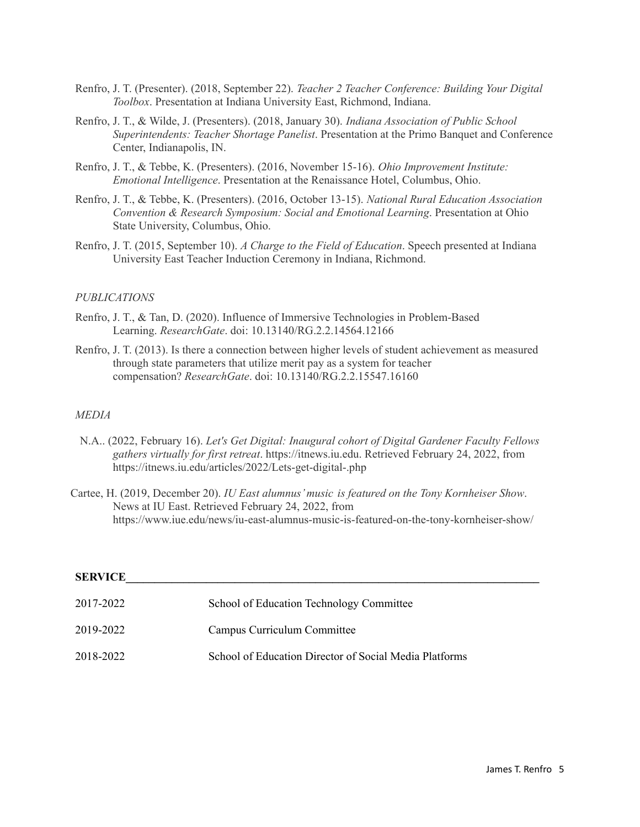- Renfro, J. T. (Presenter). (2018, September 22). *Teacher 2 Teacher Conference: Building Your Digital Toolbox*. Presentation at Indiana University East, Richmond, Indiana.
- Renfro, J. T., & Wilde, J. (Presenters). (2018, January 30). *Indiana Association of Public School Superintendents: Teacher Shortage Panelist*. Presentation at the Primo Banquet and Conference Center, Indianapolis, IN.
- Renfro, J. T., & Tebbe, K. (Presenters). (2016, November 15-16). *Ohio Improvement Institute: Emotional Intelligence*. Presentation at the Renaissance Hotel, Columbus, Ohio.
- Renfro, J. T., & Tebbe, K. (Presenters). (2016, October 13-15). *National Rural Education Association Convention & Research Symposium: Social and Emotional Learning*. Presentation at Ohio State University, Columbus, Ohio.
- Renfro, J. T. (2015, September 10). *A Charge to the Field of Education*. Speech presented at Indiana University East Teacher Induction Ceremony in Indiana, Richmond.

#### *PUBLICATIONS*

- Renfro, J. T., & Tan, D. (2020). Influence of Immersive Technologies in Problem-Based Learning. *ResearchGate*. doi: 10.13140/RG.2.2.14564.12166
- Renfro, J. T. (2013). Is there a connection between higher levels of student achievement as measured through state parameters that utilize merit pay as a system for teacher compensation? *ResearchGate*. doi: 10.13140/RG.2.2.15547.16160

#### *MEDIA*

- N.A.. (2022, February 16). *Let's Get Digital: Inaugural cohort of Digital Gardener Faculty Fellows gathers virtually for first retreat*. https://itnews.iu.edu. Retrieved February 24, 2022, from https://itnews.iu.edu/articles/2022/Lets-get-digital-.php
- Cartee, H. (2019, December 20). *IU East alumnus'music is featured on the Tony Kornheiser Show*. News at IU East. Retrieved February 24, 2022, from https://www.iue.edu/news/iu-east-alumnus-music-is-featured-on-the-tony-kornheiser-show/

| <b>SERVICE</b> |                                                        |  |
|----------------|--------------------------------------------------------|--|
| 2017-2022      | School of Education Technology Committee               |  |
| 2019-2022      | Campus Curriculum Committee                            |  |
| 2018-2022      | School of Education Director of Social Media Platforms |  |